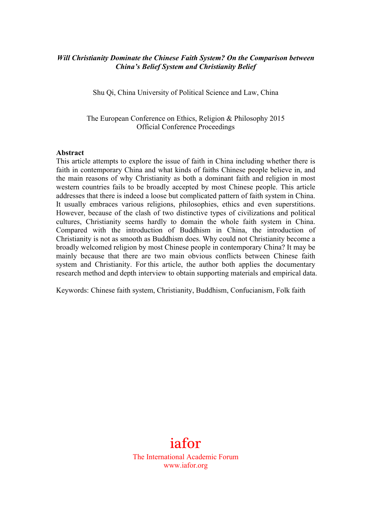## *Will Christianity Dominate the Chinese Faith System? On the Comparison between China's Belief System and Christianity Belief*

Shu Qi, China University of Political Science and Law, China

The European Conference on Ethics, Religion & Philosophy 2015 Official Conference Proceedings

#### **Abstract**

This article attempts to explore the issue of faith in China including whether there is faith in contemporary China and what kinds of faiths Chinese people believe in, and the main reasons of why Christianity as both a dominant faith and religion in most western countries fails to be broadly accepted by most Chinese people. This article addresses that there is indeed a loose but complicated pattern of faith system in China. It usually embraces various religions, philosophies, ethics and even superstitions. However, because of the clash of two distinctive types of civilizations and political cultures, Christianity seems hardly to domain the whole faith system in China. Compared with the introduction of Buddhism in China, the introduction of Christianity is not as smooth as Buddhism does. Why could not Christianity become a broadly welcomed religion by most Chinese people in contemporary China? It may be mainly because that there are two main obvious conflicts between Chinese faith system and Christianity. For this article, the author both applies the documentary research method and depth interview to obtain supporting materials and empirical data.

Keywords: Chinese faith system, Christianity, Buddhism, Confucianism, Folk faith

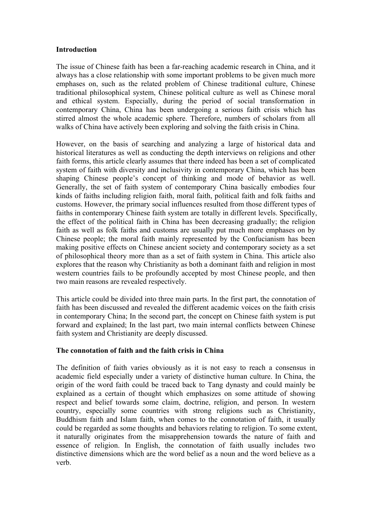## **Introduction**

The issue of Chinese faith has been a far-reaching academic research in China, and it always has a close relationship with some important problems to be given much more emphases on, such as the related problem of Chinese traditional culture, Chinese traditional philosophical system, Chinese political culture as well as Chinese moral and ethical system. Especially, during the period of social transformation in contemporary China, China has been undergoing a serious faith crisis which has stirred almost the whole academic sphere. Therefore, numbers of scholars from all walks of China have actively been exploring and solving the faith crisis in China.

However, on the basis of searching and analyzing a large of historical data and historical literatures as well as conducting the depth interviews on religions and other faith forms, this article clearly assumes that there indeed has been a set of complicated system of faith with diversity and inclusivity in contemporary China, which has been shaping Chinese people's concept of thinking and mode of behavior as well. Generally, the set of faith system of contemporary China basically embodies four kinds of faiths including religion faith, moral faith, political faith and folk faiths and customs. However, the primary social influences resulted from those different types of faiths in contemporary Chinese faith system are totally in different levels. Specifically, the effect of the political faith in China has been decreasing gradually; the religion faith as well as folk faiths and customs are usually put much more emphases on by Chinese people; the moral faith mainly represented by the Confucianism has been making positive effects on Chinese ancient society and contemporary society as a set of philosophical theory more than as a set of faith system in China. This article also explores that the reason why Christianity as both a dominant faith and religion in most western countries fails to be profoundly accepted by most Chinese people, and then two main reasons are revealed respectively.

This article could be divided into three main parts. In the first part, the connotation of faith has been discussed and revealed the different academic voices on the faith crisis in contemporary China; In the second part, the concept on Chinese faith system is put forward and explained; In the last part, two main internal conflicts between Chinese faith system and Christianity are deeply discussed.

# **The connotation of faith and the faith crisis in China**

The definition of faith varies obviously as it is not easy to reach a consensus in academic field especially under a variety of distinctive human culture. In China, the origin of the word faith could be traced back to Tang dynasty and could mainly be explained as a certain of thought which emphasizes on some attitude of showing respect and belief towards some claim, doctrine, religion, and person. In western country, especially some countries with strong religions such as Christianity, Buddhism faith and Islam faith, when comes to the connotation of faith, it usually could be regarded as some thoughts and behaviors relating to religion. To some extent, it naturally originates from the misapprehension towards the nature of faith and essence of religion. In English, the connotation of faith usually includes two distinctive dimensions which are the word belief as a noun and the word believe as a verb.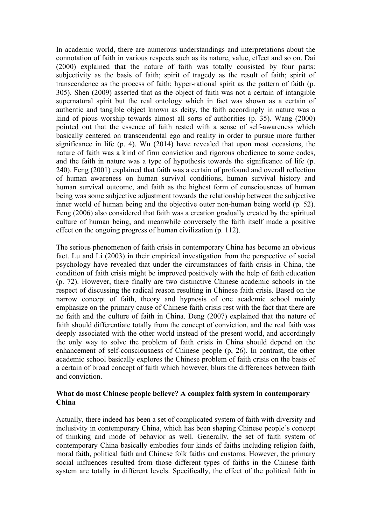In academic world, there are numerous understandings and interpretations about the connotation of faith in various respects such as its nature, value, effect and so on. Dai (2000) explained that the nature of faith was totally consisted by four parts: subjectivity as the basis of faith; spirit of tragedy as the result of faith; spirit of transcendence as the process of faith; hyper-rational spirit as the pattern of faith (p. 305). Shen (2009) asserted that as the object of faith was not a certain of intangible supernatural spirit but the real ontology which in fact was shown as a certain of authentic and tangible object known as deity, the faith accordingly in nature was a kind of pious worship towards almost all sorts of authorities (p. 35). Wang (2000) pointed out that the essence of faith rested with a sense of self-awareness which basically centered on transcendental ego and reality in order to pursue more further significance in life (p. 4). Wu (2014) have revealed that upon most occasions, the nature of faith was a kind of firm conviction and rigorous obedience to some codes, and the faith in nature was a type of hypothesis towards the significance of life (p. 240). Feng (2001) explained that faith was a certain of profound and overall reflection of human awareness on human survival conditions, human survival history and human survival outcome, and faith as the highest form of consciousness of human being was some subjective adjustment towards the relationship between the subjective inner world of human being and the objective outer non-human being world (p. 52). Feng (2006) also considered that faith was a creation gradually created by the spiritual culture of human being, and meanwhile conversely the faith itself made a positive effect on the ongoing progress of human civilization (p. 112).

The serious phenomenon of faith crisis in contemporary China has become an obvious fact. Lu and Li (2003) in their empirical investigation from the perspective of social psychology have revealed that under the circumstances of faith crisis in China, the condition of faith crisis might be improved positively with the help of faith education (p. 72). However, there finally are two distinctive Chinese academic schools in the respect of discussing the radical reason resulting in Chinese faith crisis. Based on the narrow concept of faith, theory and hypnosis of one academic school mainly emphasize on the primary cause of Chinese faith crisis rest with the fact that there are no faith and the culture of faith in China. Deng (2007) explained that the nature of faith should differentiate totally from the concept of conviction, and the real faith was deeply associated with the other world instead of the present world, and accordingly the only way to solve the problem of faith crisis in China should depend on the enhancement of self-consciousness of Chinese people (p, 26). In contrast, the other academic school basically explores the Chinese problem of faith crisis on the basis of a certain of broad concept of faith which however, blurs the differences between faith and conviction.

## **What do most Chinese people believe? A complex faith system in contemporary China**

Actually, there indeed has been a set of complicated system of faith with diversity and inclusivity in contemporary China, which has been shaping Chinese people's concept of thinking and mode of behavior as well. Generally, the set of faith system of contemporary China basically embodies four kinds of faiths including religion faith, moral faith, political faith and Chinese folk faiths and customs. However, the primary social influences resulted from those different types of faiths in the Chinese faith system are totally in different levels. Specifically, the effect of the political faith in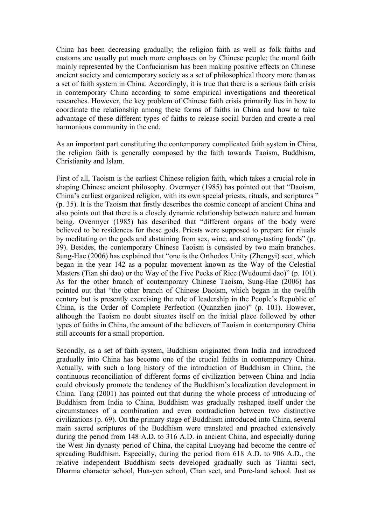China has been decreasing gradually; the religion faith as well as folk faiths and customs are usually put much more emphases on by Chinese people; the moral faith mainly represented by the Confucianism has been making positive effects on Chinese ancient society and contemporary society as a set of philosophical theory more than as a set of faith system in China. Accordingly, it is true that there is a serious faith crisis in contemporary China according to some empirical investigations and theoretical researches. However, the key problem of Chinese faith crisis primarily lies in how to coordinate the relationship among these forms of faiths in China and how to take advantage of these different types of faiths to release social burden and create a real harmonious community in the end.

As an important part constituting the contemporary complicated faith system in China, the religion faith is generally composed by the faith towards Taoism, Buddhism, Christianity and Islam.

First of all, Taoism is the earliest Chinese religion faith, which takes a crucial role in shaping Chinese ancient philosophy. Overmyer (1985) has pointed out that "Daoism, China's earliest organized religion, with its own special priests, rituals, and scriptures " (p. 35). It is the Taoism that firstly describes the cosmic concept of ancient China and also points out that there is a closely dynamic relationship between nature and human being. Overmyer (1985) has described that "different organs of the body were believed to be residences for these gods. Priests were supposed to prepare for rituals by meditating on the gods and abstaining from sex, wine, and strong-tasting foods" (p. 39). Besides, the contemporary Chinese Taoism is consisted by two main branches. Sung-Hae (2006) has explained that "one is the Orthodox Unity (Zhengyi) sect, which began in the year 142 as a popular movement known as the Way of the Celestial Masters (Tian shi dao) or the Way of the Five Pecks of Rice (Wudoumi dao)" (p. 101). As for the other branch of contemporary Chinese Taoism, Sung-Hae (2006) has pointed out that "the other branch of Chinese Daoism, which began in the twelfth century but is presently exercising the role of leadership in the People's Republic of China, is the Order of Complete Perfection (Quanzhen jiao)" (p. 101). However, although the Taoism no doubt situates itself on the initial place followed by other types of faiths in China, the amount of the believers of Taoism in contemporary China still accounts for a small proportion.

Secondly, as a set of faith system, Buddhism originated from India and introduced gradually into China has become one of the crucial faiths in contemporary China. Actually, with such a long history of the introduction of Buddhism in China, the continuous reconciliation of different forms of civilization between China and India could obviously promote the tendency of the Buddhism's localization development in China. Tang (2001) has pointed out that during the whole process of introducing of Buddhism from India to China, Buddhism was gradually reshaped itself under the circumstances of a combination and even contradiction between two distinctive civilizations (p. 69). On the primary stage of Buddhism introduced into China, several main sacred scriptures of the Buddhism were translated and preached extensively during the period from 148 A.D. to 316 A.D. in ancient China, and especially during the West Jin dynasty period of China, the capital Luoyang had become the centre of spreading Buddhism. Especially, during the period from 618 A.D. to 906 A.D., the relative independent Buddhism sects developed gradually such as Tiantai sect, Dharma character school, Hua-yen school, Chan sect, and Pure-land school. Just as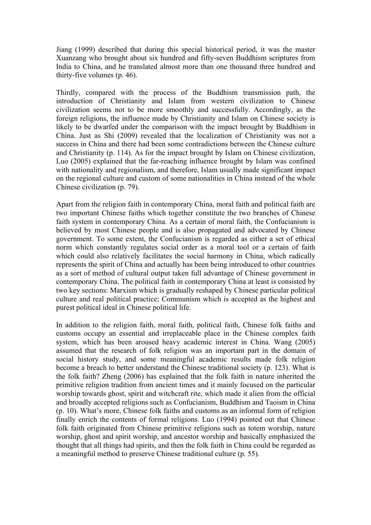Jiang (1999) described that during this special historical period, it was the master Xuanzang who brought about six hundred and fifty-seven Buddhism scriptures from India to China, and he translated almost more than one thousand three hundred and thirty-five volumes (p. 46).

Thirdly, compared with the process of the Buddhism transmission path, the introduction of Christianity and Islam from western civilization to Chinese civilization seems not to be more smoothly and successfully. Accordingly, as the foreign religions, the influence made by Christianity and Islam on Chinese society is likely to be dwarfed under the comparison with the impact brought by Buddhism in China. Just as Shi (2009) revealed that the localization of Christianity was not a success in China and there had been some contradictions between the Chinese culture and Christianity (p. 114). As for the impact brought by Islam on Chinese civilization, Luo (2005) explained that the far-reaching influence brought by Islam was confined with nationality and regionalism, and therefore, Islam usually made significant impact on the regional culture and custom of some nationalities in China instead of the whole Chinese civilization (p. 79).

Apart from the religion faith in contemporary China, moral faith and political faith are two important Chinese faiths which together constitute the two branches of Chinese faith system in contemporary China. As a certain of moral faith, the Confucianism is believed by most Chinese people and is also propagated and advocated by Chinese government. To some extent, the Confucianism is regarded as either a set of ethical norm which constantly regulates social order as a moral tool or a certain of faith which could also relatively facilitates the social harmony in China, which radically represents the spirit of China and actually has been being introduced to other countries as a sort of method of cultural output taken full advantage of Chinese government in contemporary China. The political faith in contemporary China at least is consisted by two key sections: Marxism which is gradually reshaped by Chinese particular political culture and real political practice; Communism which is accepted as the highest and purest political ideal in Chinese political life.

In addition to the religion faith, moral faith, political faith, Chinese folk faiths and customs occupy an essential and irreplaceable place in the Chinese complex faith system, which has been aroused heavy academic interest in China. Wang (2005) assumed that the research of folk religion was an important part in the domain of social history study, and some meaningful academic results made folk religion become a breach to better understand the Chinese traditional society (p. 123). What is the folk faith? Zheng (2006) has explained that the folk faith in nature inherited the primitive religion tradition from ancient times and it mainly focused on the particular worship towards ghost, spirit and witchcraft rite, which made it alien from the official and broadly accepted religions such as Confucianism, Buddhism and Taoism in China (p. 10). What's more, Chinese folk faiths and customs as an informal form of religion finally enrich the contents of formal religions. Luo (1994) pointed out that Chinese folk faith originated from Chinese primitive religions such as totem worship, nature worship, ghost and spirit worship, and ancestor worship and basically emphasized the thought that all things had spirits, and then the folk faith in China could be regarded as a meaningful method to preserve Chinese traditional culture (p. 55).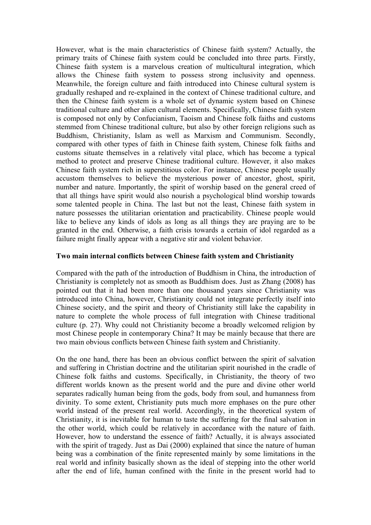However, what is the main characteristics of Chinese faith system? Actually, the primary traits of Chinese faith system could be concluded into three parts. Firstly, Chinese faith system is a marvelous creation of multicultural integration, which allows the Chinese faith system to possess strong inclusivity and openness. Meanwhile, the foreign culture and faith introduced into Chinese cultural system is gradually reshaped and re-explained in the context of Chinese traditional culture, and then the Chinese faith system is a whole set of dynamic system based on Chinese traditional culture and other alien cultural elements. Specifically, Chinese faith system is composed not only by Confucianism, Taoism and Chinese folk faiths and customs stemmed from Chinese traditional culture, but also by other foreign religions such as Buddhism, Christianity, Islam as well as Marxism and Communism. Secondly, compared with other types of faith in Chinese faith system, Chinese folk faiths and customs situate themselves in a relatively vital place, which has become a typical method to protect and preserve Chinese traditional culture. However, it also makes Chinese faith system rich in superstitious color. For instance, Chinese people usually accustom themselves to believe the mysterious power of ancestor, ghost, spirit, number and nature. Importantly, the spirit of worship based on the general creed of that all things have spirit would also nourish a psychological blind worship towards some talented people in China. The last but not the least, Chinese faith system in nature possesses the utilitarian orientation and practicability. Chinese people would like to believe any kinds of idols as long as all things they are praying are to be granted in the end. Otherwise, a faith crisis towards a certain of idol regarded as a failure might finally appear with a negative stir and violent behavior.

### **Two main internal conflicts between Chinese faith system and Christianity**

Compared with the path of the introduction of Buddhism in China, the introduction of Christianity is completely not as smooth as Buddhism does. Just as Zhang (2008) has pointed out that it had been more than one thousand years since Christianity was introduced into China, however, Christianity could not integrate perfectly itself into Chinese society, and the spirit and theory of Christianity still lake the capability in nature to complete the whole process of full integration with Chinese traditional culture (p. 27). Why could not Christianity become a broadly welcomed religion by most Chinese people in contemporary China? It may be mainly because that there are two main obvious conflicts between Chinese faith system and Christianity.

On the one hand, there has been an obvious conflict between the spirit of salvation and suffering in Christian doctrine and the utilitarian spirit nourished in the cradle of Chinese folk faiths and customs. Specifically, in Christianity, the theory of two different worlds known as the present world and the pure and divine other world separates radically human being from the gods, body from soul, and humanness from divinity. To some extent, Christianity puts much more emphases on the pure other world instead of the present real world. Accordingly, in the theoretical system of Christianity, it is inevitable for human to taste the suffering for the final salvation in the other world, which could be relatively in accordance with the nature of faith. However, how to understand the essence of faith? Actually, it is always associated with the spirit of tragedy. Just as Dai (2000) explained that since the nature of human being was a combination of the finite represented mainly by some limitations in the real world and infinity basically shown as the ideal of stepping into the other world after the end of life, human confined with the finite in the present world had to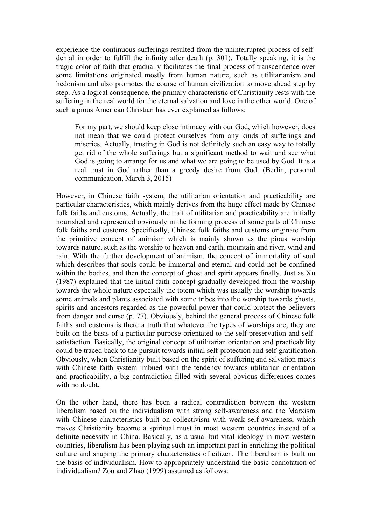experience the continuous sufferings resulted from the uninterrupted process of selfdenial in order to fulfill the infinity after death (p. 301). Totally speaking, it is the tragic color of faith that gradually facilitates the final process of transcendence over some limitations originated mostly from human nature, such as utilitarianism and hedonism and also promotes the course of human civilization to move ahead step by step. As a logical consequence, the primary characteristic of Christianity rests with the suffering in the real world for the eternal salvation and love in the other world. One of such a pious American Christian has ever explained as follows:

For my part, we should keep close intimacy with our God, which however, does not mean that we could protect ourselves from any kinds of sufferings and miseries. Actually, trusting in God is not definitely such an easy way to totally get rid of the whole sufferings but a significant method to wait and see what God is going to arrange for us and what we are going to be used by God. It is a real trust in God rather than a greedy desire from God. (Berlin, personal communication, March 3, 2015)

However, in Chinese faith system, the utilitarian orientation and practicability are particular characteristics, which mainly derives from the huge effect made by Chinese folk faiths and customs. Actually, the trait of utilitarian and practicability are initially nourished and represented obviously in the forming process of some parts of Chinese folk faiths and customs. Specifically, Chinese folk faiths and customs originate from the primitive concept of animism which is mainly shown as the pious worship towards nature, such as the worship to heaven and earth, mountain and river, wind and rain. With the further development of animism, the concept of immortality of soul which describes that souls could be immortal and eternal and could not be confined within the bodies, and then the concept of ghost and spirit appears finally. Just as Xu (1987) explained that the initial faith concept gradually developed from the worship towards the whole nature especially the totem which was usually the worship towards some animals and plants associated with some tribes into the worship towards ghosts, spirits and ancestors regarded as the powerful power that could protect the believers from danger and curse (p. 77). Obviously, behind the general process of Chinese folk faiths and customs is there a truth that whatever the types of worships are, they are built on the basis of a particular purpose orientated to the self-preservation and selfsatisfaction. Basically, the original concept of utilitarian orientation and practicability could be traced back to the pursuit towards initial self-protection and self-gratification. Obviously, when Christianity built based on the spirit of suffering and salvation meets with Chinese faith system imbued with the tendency towards utilitarian orientation and practicability, a big contradiction filled with several obvious differences comes with no doubt.

On the other hand, there has been a radical contradiction between the western liberalism based on the individualism with strong self-awareness and the Marxism with Chinese characteristics built on collectivism with weak self-awareness, which makes Christianity become a spiritual must in most western countries instead of a definite necessity in China. Basically, as a usual but vital ideology in most western countries, liberalism has been playing such an important part in enriching the political culture and shaping the primary characteristics of citizen. The liberalism is built on the basis of individualism. How to appropriately understand the basic connotation of individualism? Zou and Zhao (1999) assumed as follows: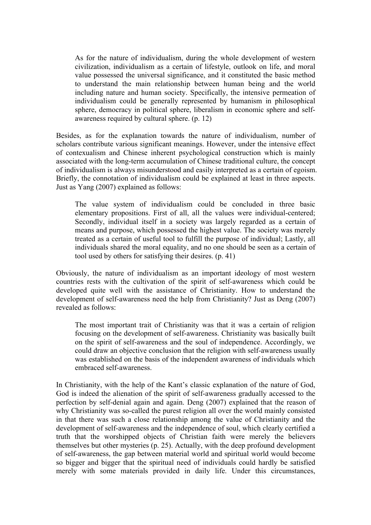As for the nature of individualism, during the whole development of western civilization, individualism as a certain of lifestyle, outlook on life, and moral value possessed the universal significance, and it constituted the basic method to understand the main relationship between human being and the world including nature and human society. Specifically, the intensive permeation of individualism could be generally represented by humanism in philosophical sphere, democracy in political sphere, liberalism in economic sphere and selfawareness required by cultural sphere. (p. 12)

Besides, as for the explanation towards the nature of individualism, number of scholars contribute various significant meanings. However, under the intensive effect of contexualism and Chinese inherent psychological construction which is mainly associated with the long-term accumulation of Chinese traditional culture, the concept of individualism is always misunderstood and easily interpreted as a certain of egoism. Briefly, the connotation of individualism could be explained at least in three aspects. Just as Yang (2007) explained as follows:

The value system of individualism could be concluded in three basic elementary propositions. First of all, all the values were individual-centered; Secondly, individual itself in a society was largely regarded as a certain of means and purpose, which possessed the highest value. The society was merely treated as a certain of useful tool to fulfill the purpose of individual; Lastly, all individuals shared the moral equality, and no one should be seen as a certain of tool used by others for satisfying their desires. (p. 41)

Obviously, the nature of individualism as an important ideology of most western countries rests with the cultivation of the spirit of self-awareness which could be developed quite well with the assistance of Christianity. How to understand the development of self-awareness need the help from Christianity? Just as Deng (2007) revealed as follows:

The most important trait of Christianity was that it was a certain of religion focusing on the development of self-awareness. Christianity was basically built on the spirit of self-awareness and the soul of independence. Accordingly, we could draw an objective conclusion that the religion with self-awareness usually was established on the basis of the independent awareness of individuals which embraced self-awareness.

In Christianity, with the help of the Kant's classic explanation of the nature of God, God is indeed the alienation of the spirit of self-awareness gradually accessed to the perfection by self-denial again and again. Deng (2007) explained that the reason of why Christianity was so-called the purest religion all over the world mainly consisted in that there was such a close relationship among the value of Christianity and the development of self-awareness and the independence of soul, which clearly certified a truth that the worshipped objects of Christian faith were merely the believers themselves but other mysteries (p. 25). Actually, with the deep profound development of self-awareness, the gap between material world and spiritual world would become so bigger and bigger that the spiritual need of individuals could hardly be satisfied merely with some materials provided in daily life. Under this circumstances,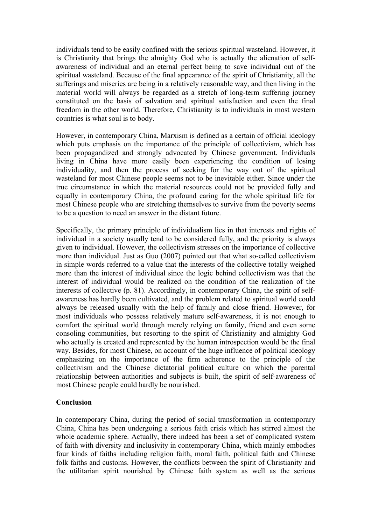individuals tend to be easily confined with the serious spiritual wasteland. However, it is Christianity that brings the almighty God who is actually the alienation of selfawareness of individual and an eternal perfect being to save individual out of the spiritual wasteland. Because of the final appearance of the spirit of Christianity, all the sufferings and miseries are being in a relatively reasonable way, and then living in the material world will always be regarded as a stretch of long-term suffering journey constituted on the basis of salvation and spiritual satisfaction and even the final freedom in the other world. Therefore, Christianity is to individuals in most western countries is what soul is to body.

However, in contemporary China, Marxism is defined as a certain of official ideology which puts emphasis on the importance of the principle of collectivism, which has been propagandized and strongly advocated by Chinese government. Individuals living in China have more easily been experiencing the condition of losing individuality, and then the process of seeking for the way out of the spiritual wasteland for most Chinese people seems not to be inevitable either. Since under the true circumstance in which the material resources could not be provided fully and equally in contemporary China, the profound caring for the whole spiritual life for most Chinese people who are stretching themselves to survive from the poverty seems to be a question to need an answer in the distant future.

Specifically, the primary principle of individualism lies in that interests and rights of individual in a society usually tend to be considered fully, and the priority is always given to individual. However, the collectivism stresses on the importance of collective more than individual. Just as Guo (2007) pointed out that what so-called collectivism in simple words referred to a value that the interests of the collective totally weighed more than the interest of individual since the logic behind collectivism was that the interest of individual would be realized on the condition of the realization of the interests of collective (p. 81). Accordingly, in contemporary China, the spirit of selfawareness has hardly been cultivated, and the problem related to spiritual world could always be released usually with the help of family and close friend. However, for most individuals who possess relatively mature self-awareness, it is not enough to comfort the spiritual world through merely relying on family, friend and even some consoling communities, but resorting to the spirit of Christianity and almighty God who actually is created and represented by the human introspection would be the final way. Besides, for most Chinese, on account of the huge influence of political ideology emphasizing on the importance of the firm adherence to the principle of the collectivism and the Chinese dictatorial political culture on which the parental relationship between authorities and subjects is built, the spirit of self-awareness of most Chinese people could hardly be nourished.

### **Conclusion**

In contemporary China, during the period of social transformation in contemporary China, China has been undergoing a serious faith crisis which has stirred almost the whole academic sphere. Actually, there indeed has been a set of complicated system of faith with diversity and inclusivity in contemporary China, which mainly embodies four kinds of faiths including religion faith, moral faith, political faith and Chinese folk faiths and customs. However, the conflicts between the spirit of Christianity and the utilitarian spirit nourished by Chinese faith system as well as the serious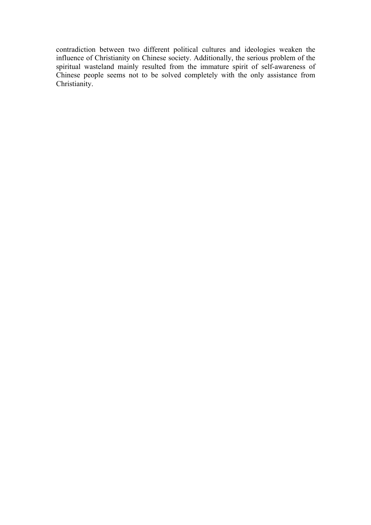contradiction between two different political cultures and ideologies weaken the influence of Christianity on Chinese society. Additionally, the serious problem of the spiritual wasteland mainly resulted from the immature spirit of self-awareness of Chinese people seems not to be solved completely with the only assistance from Christianity.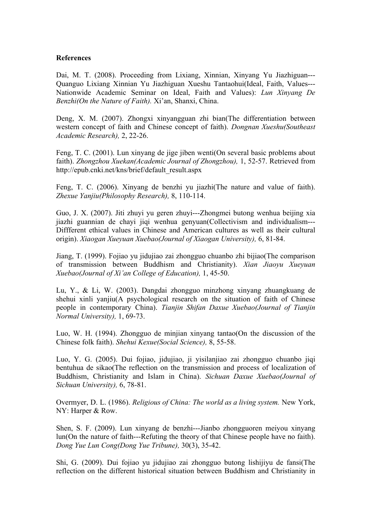#### **References**

Dai, M. T. (2008). Proceeding from Lixiang, Xinnian, Xinyang Yu Jiazhiguan--- Quanguo Lixiang Xinnian Yu Jiazhiguan Xueshu Tantaohui(Ideal, Faith, Values--- Nationwide Academic Seminar on Ideal, Faith and Values): *Lun Xinyang De Benzhi(On the Nature of Faith).* Xi'an, Shanxi, China.

Deng, X. M. (2007). Zhongxi xinyangguan zhi bian(The differentiation between western concept of faith and Chinese concept of faith). *Dongnan Xueshu(Southeast Academic Research),* 2, 22-26.

Feng, T. C. (2001). Lun xinyang de jige jiben wenti(On several basic problems about faith). *Zhongzhou Xuekan(Academic Journal of Zhongzhou),* 1, 52-57. Retrieved from http://epub.cnki.net/kns/brief/default\_result.aspx

Feng, T. C. (2006). Xinyang de benzhi yu jiazhi(The nature and value of faith). *Zhexue Yanjiu(Philosophy Research),* 8, 110-114.

Guo, J. X. (2007). Jiti zhuyi yu geren zhuyi---Zhongmei butong wenhua beijing xia jiazhi guannian de chayi jiqi wenhua genyuan(Collectivism and individualism--- Diffferent ethical values in Chinese and American cultures as well as their cultural origin). *Xiaogan Xueyuan Xuebao(Journal of Xiaogan University),* 6, 81-84.

Jiang, T. (1999). Fojiao yu jidujiao zai zhongguo chuanbo zhi bijiao(The comparison of transmission between Buddhism and Christianity). *Xian Jiaoyu Xueyuan Xuebao(Journal of Xi'an College of Education),* 1, 45-50.

Lu, Y., & Li, W. (2003). Dangdai zhongguo minzhong xinyang zhuangkuang de shehui xinli yanjiu(A psychological research on the situation of faith of Chinese people in contemporary China). *Tianjin Shifan Daxue Xuebao(Journal of Tianjin Normal University),* 1, 69-73.

Luo, W. H. (1994). Zhongguo de minjian xinyang tantao(On the discussion of the Chinese folk faith). *Shehui Kexue(Social Science),* 8, 55-58.

Luo, Y. G. (2005). Dui fojiao, jidujiao, ji yisilanjiao zai zhongguo chuanbo jiqi bentuhua de sikao(The reflection on the transmission and process of localization of Buddhism, Christianity and Islam in China). *Sichuan Daxue Xuebao(Journal of Sichuan University),* 6, 78-81.

Overmyer, D. L. (1986). *Religious of China: The world as a living system.* New York, NY: Harper & Row.

Shen, S. F. (2009). Lun xinyang de benzhi---Jianbo zhongguoren meiyou xinyang lun(On the nature of faith---Refuting the theory of that Chinese people have no faith). *Dong Yue Lun Cong(Dong Yue Tribune),* 30(3), 35-42.

Shi, G. (2009). Dui fojiao yu jidujiao zai zhongguo butong lishijiyu de fansi(The reflection on the different historical situation between Buddhism and Christianity in